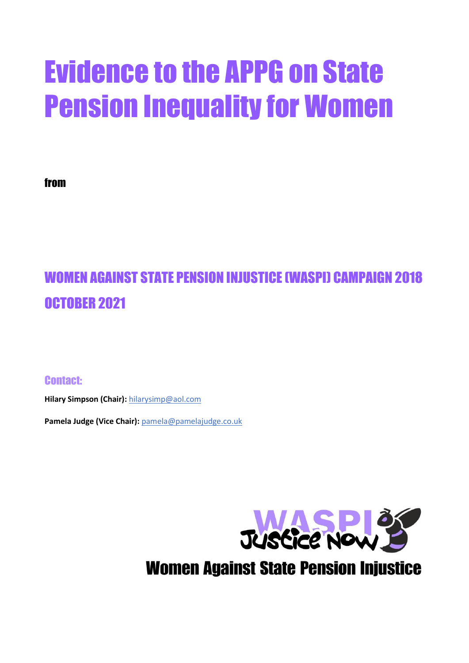# Evidence to the APPG on State Pension Inequality for Women

from

# WOMEN AGAINST STATE PENSION INJUSTICE (WASPI) CAMPAIGN 2018 OCTOBER 2021

Contact:

**Hilary Simpson (Chair):** [hilarysimp@aol.com](mailto:hilarysimp@aol.com)

**Pamela Judge (Vice Chair):** [pamela@pamelajudge.co.uk](mailto:pamela@pamelajudge.co.uk)

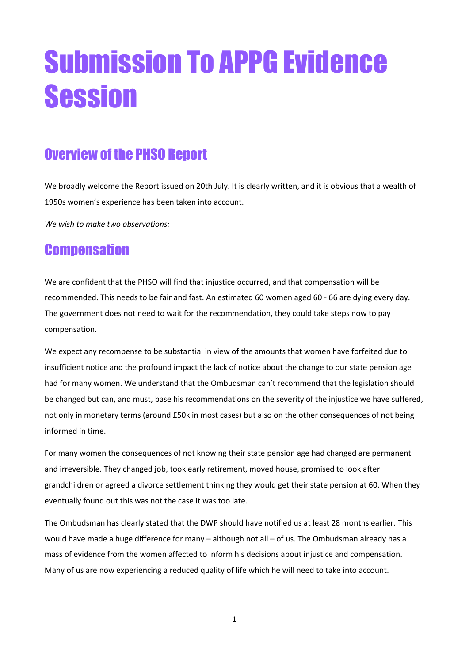# Submission To APPG Evidence Session

# Overview of the PHSO Report

We broadly welcome the Report issued on 20th July. It is clearly written, and it is obvious that a wealth of 1950s women's experience has been taken into account.

*We wish to make two observations:*

### **Compensation**

We are confident that the PHSO will find that injustice occurred, and that compensation will be recommended. This needs to be fair and fast. An estimated 60 women aged 60 - 66 are dying every day. The government does not need to wait for the recommendation, they could take steps now to pay compensation.

We expect any recompense to be substantial in view of the amounts that women have forfeited due to insufficient notice and the profound impact the lack of notice about the change to our state pension age had for many women. We understand that the Ombudsman can't recommend that the legislation should be changed but can, and must, base his recommendations on the severity of the injustice we have suffered, not only in monetary terms (around £50k in most cases) but also on the other consequences of not being informed in time.

For many women the consequences of not knowing their state pension age had changed are permanent and irreversible. They changed job, took early retirement, moved house, promised to look after grandchildren or agreed a divorce settlement thinking they would get their state pension at 60. When they eventually found out this was not the case it was too late.

The Ombudsman has clearly stated that the DWP should have notified us at least 28 months earlier. This would have made a huge difference for many – although not all – of us. The Ombudsman already has a mass of evidence from the women affected to inform his decisions about injustice and compensation. Many of us are now experiencing a reduced quality of life which he will need to take into account.

1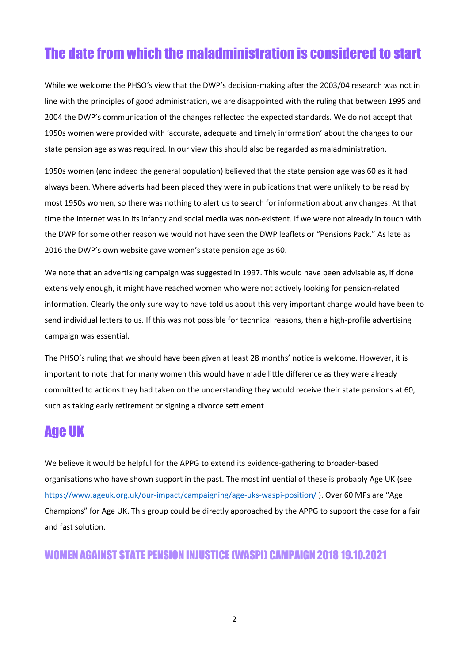# The date from which the maladministration is considered to start

While we welcome the PHSO's view that the DWP's decision-making after the 2003/04 research was not in line with the principles of good administration, we are disappointed with the ruling that between 1995 and 2004 the DWP's communication of the changes reflected the expected standards. We do not accept that 1950s women were provided with 'accurate, adequate and timely information' about the changes to our state pension age as was required. In our view this should also be regarded as maladministration.

1950s women (and indeed the general population) believed that the state pension age was 60 as it had always been. Where adverts had been placed they were in publications that were unlikely to be read by most 1950s women, so there was nothing to alert us to search for information about any changes. At that time the internet was in its infancy and social media was non-existent. If we were not already in touch with the DWP for some other reason we would not have seen the DWP leaflets or "Pensions Pack." As late as 2016 the DWP's own website gave women's state pension age as 60.

We note that an advertising campaign was suggested in 1997. This would have been advisable as, if done extensively enough, it might have reached women who were not actively looking for pension-related information. Clearly the only sure way to have told us about this very important change would have been to send individual letters to us. If this was not possible for technical reasons, then a high-profile advertising campaign was essential.

The PHSO's ruling that we should have been given at least 28 months' notice is welcome. However, it is important to note that for many women this would have made little difference as they were already committed to actions they had taken on the understanding they would receive their state pensions at 60, such as taking early retirement or signing a divorce settlement.

## Age UK

We believe it would be helpful for the APPG to extend its evidence-gathering to broader-based organisations who have shown support in the past. The most influential of these is probably Age UK (see <https://www.ageuk.org.uk/our-impact/campaigning/age-uks-waspi-position/> ). Over 60 MPs are "Age Champions" for Age UK. This group could be directly approached by the APPG to support the case for a fair and fast solution.

#### WOMEN AGAINST STATE PENSION INJUSTICE (WASPI) CAMPAIGN 2018 19.10.2021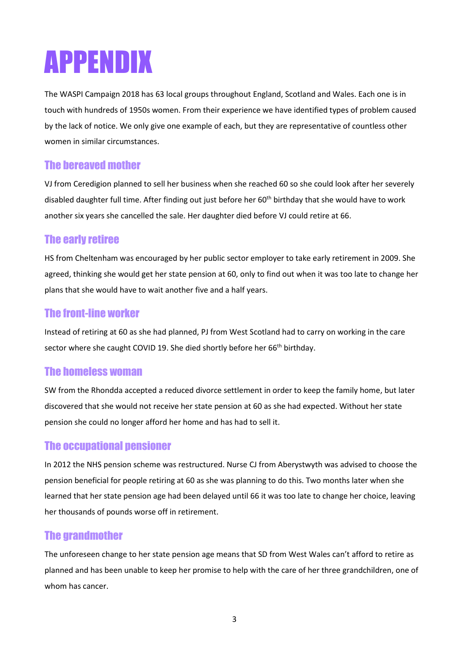# APPENDIX

The WASPI Campaign 2018 has 63 local groups throughout England, Scotland and Wales. Each one is in touch with hundreds of 1950s women. From their experience we have identified types of problem caused by the lack of notice. We only give one example of each, but they are representative of countless other women in similar circumstances.

#### The bereaved mother

VJ from Ceredigion planned to sell her business when she reached 60 so she could look after her severely disabled daughter full time. After finding out just before her 60<sup>th</sup> birthday that she would have to work another six years she cancelled the sale. Her daughter died before VJ could retire at 66.

#### The early retiree

HS from Cheltenham was encouraged by her public sector employer to take early retirement in 2009. She agreed, thinking she would get her state pension at 60, only to find out when it was too late to change her plans that she would have to wait another five and a half years.

#### The front-line worker

Instead of retiring at 60 as she had planned, PJ from West Scotland had to carry on working in the care sector where she caught COVID 19. She died shortly before her 66<sup>th</sup> birthday.

#### The homeless woman

SW from the Rhondda accepted a reduced divorce settlement in order to keep the family home, but later discovered that she would not receive her state pension at 60 as she had expected. Without her state pension she could no longer afford her home and has had to sell it.

#### The occupational pensioner

In 2012 the NHS pension scheme was restructured. Nurse CJ from Aberystwyth was advised to choose the pension beneficial for people retiring at 60 as she was planning to do this. Two months later when she learned that her state pension age had been delayed until 66 it was too late to change her choice, leaving her thousands of pounds worse off in retirement.

#### The grandmother

The unforeseen change to her state pension age means that SD from West Wales can't afford to retire as planned and has been unable to keep her promise to help with the care of her three grandchildren, one of whom has cancer.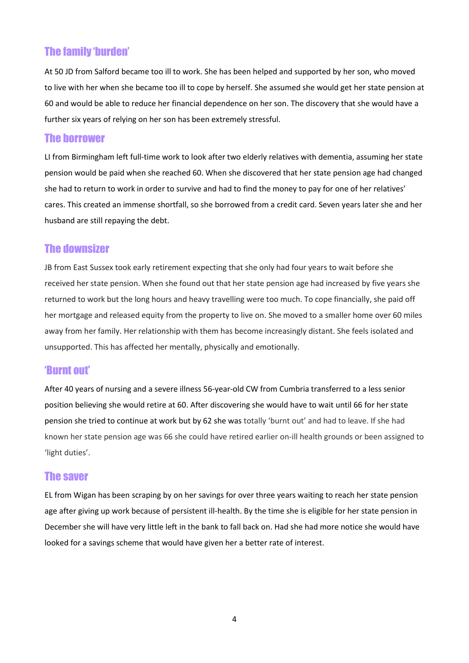#### The family 'burden'

At 50 JD from Salford became too ill to work. She has been helped and supported by her son, who moved to live with her when she became too ill to cope by herself. She assumed she would get her state pension at 60 and would be able to reduce her financial dependence on her son. The discovery that she would have a further six years of relying on her son has been extremely stressful.

#### The borrower

LI from Birmingham left full-time work to look after two elderly relatives with dementia, assuming her state pension would be paid when she reached 60. When she discovered that her state pension age had changed she had to return to work in order to survive and had to find the money to pay for one of her relatives' cares. This created an immense shortfall, so she borrowed from a credit card. Seven years later she and her husband are still repaying the debt.

#### The downsizer

JB from East Sussex took early retirement expecting that she only had four years to wait before she received her state pension. When she found out that her state pension age had increased by five years she returned to work but the long hours and heavy travelling were too much. To cope financially, she paid off her mortgage and released equity from the property to live on. She moved to a smaller home over 60 miles away from her family. Her relationship with them has become increasingly distant. She feels isolated and unsupported. This has affected her mentally, physically and emotionally.

#### 'Burnt out'

After 40 years of nursing and a severe illness 56-year-old CW from Cumbria transferred to a less senior position believing she would retire at 60. After discovering she would have to wait until 66 for her state pension she tried to continue at work but by 62 she was totally 'burnt out' and had to leave. If she had known her state pension age was 66 she could have retired earlier on-ill health grounds or been assigned to 'light duties'.

#### The saver

EL from Wigan has been scraping by on her savings for over three years waiting to reach her state pension age after giving up work because of persistent ill-health. By the time she is eligible for her state pension in December she will have very little left in the bank to fall back on. Had she had more notice she would have looked for a savings scheme that would have given her a better rate of interest.

4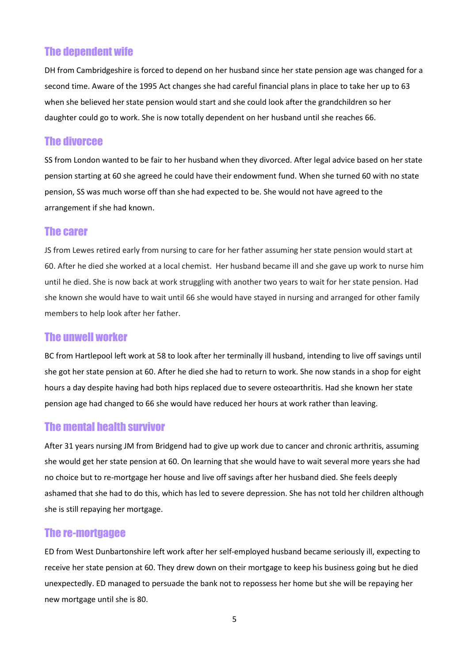#### The dependent wife

DH from Cambridgeshire is forced to depend on her husband since her state pension age was changed for a second time. Aware of the 1995 Act changes she had careful financial plans in place to take her up to 63 when she believed her state pension would start and she could look after the grandchildren so her daughter could go to work. She is now totally dependent on her husband until she reaches 66.

#### The divorcee

SS from London wanted to be fair to her husband when they divorced. After legal advice based on her state pension starting at 60 she agreed he could have their endowment fund. When she turned 60 with no state pension, SS was much worse off than she had expected to be. She would not have agreed to the arrangement if she had known.

#### The carer

JS from Lewes retired early from nursing to care for her father assuming her state pension would start at 60. After he died she worked at a local chemist. Her husband became ill and she gave up work to nurse him until he died. She is now back at work struggling with another two years to wait for her state pension. Had she known she would have to wait until 66 she would have stayed in nursing and arranged for other family members to help look after her father.

#### The unwell worker

BC from Hartlepool left work at 58 to look after her terminally ill husband, intending to live off savings until she got her state pension at 60. After he died she had to return to work. She now stands in a shop for eight hours a day despite having had both hips replaced due to severe osteoarthritis. Had she known her state pension age had changed to 66 she would have reduced her hours at work rather than leaving.

#### The mental health survivor

After 31 years nursing JM from Bridgend had to give up work due to cancer and chronic arthritis, assuming she would get her state pension at 60. On learning that she would have to wait several more years she had no choice but to re-mortgage her house and live off savings after her husband died. She feels deeply ashamed that she had to do this, which has led to severe depression. She has not told her children although she is still repaying her mortgage.

#### The re-mortgagee

ED from West Dunbartonshire left work after her self-employed husband became seriously ill, expecting to receive her state pension at 60. They drew down on their mortgage to keep his business going but he died unexpectedly. ED managed to persuade the bank not to repossess her home but she will be repaying her new mortgage until she is 80.